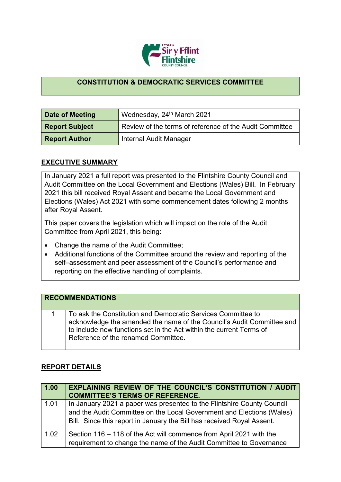

## **CONSTITUTION & DEMOCRATIC SERVICES COMMITTEE**

| Date of Meeting       | Wednesday, 24 <sup>th</sup> March 2021                  |
|-----------------------|---------------------------------------------------------|
| <b>Report Subject</b> | Review of the terms of reference of the Audit Committee |
| <b>Report Author</b>  | Internal Audit Manager                                  |

## **EXECUTIVE SUMMARY**

In January 2021 a full report was presented to the Flintshire County Council and Audit Committee on the Local Government and Elections (Wales) Bill. In February 2021 this bill received Royal Assent and became the Local Government and Elections (Wales) Act 2021 with some commencement dates following 2 months after Royal Assent.

This paper covers the legislation which will impact on the role of the Audit Committee from April 2021, this being:

- Change the name of the Audit Committee;
- Additional functions of the Committee around the review and reporting of the self–assessment and peer assessment of the Council's performance and reporting on the effective handling of complaints.

| <b>RECOMMENDATIONS</b>                                                                                                                                                                                                                              |
|-----------------------------------------------------------------------------------------------------------------------------------------------------------------------------------------------------------------------------------------------------|
| To ask the Constitution and Democratic Services Committee to<br>acknowledge the amended the name of the Council's Audit Committee and<br>to include new functions set in the Act within the current Terms of<br>Reference of the renamed Committee. |

## **REPORT DETAILS**

| 1.00 | <b>EXPLAINING REVIEW OF THE COUNCIL'S CONSTITUTION / AUDIT</b><br><b>COMMITTEE'S TERMS OF REFERENCE.</b>                                                                                                                  |
|------|---------------------------------------------------------------------------------------------------------------------------------------------------------------------------------------------------------------------------|
| 1.01 | In January 2021 a paper was presented to the Flintshire County Council<br>and the Audit Committee on the Local Government and Elections (Wales)<br>Bill. Since this report in January the Bill has received Royal Assent. |
| 1.02 | Section 116 – 118 of the Act will commence from April 2021 with the<br>requirement to change the name of the Audit Committee to Governance                                                                                |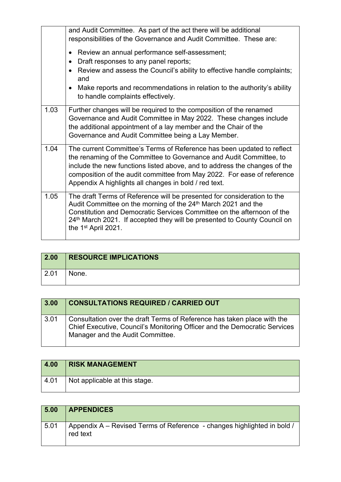|      | and Audit Committee. As part of the act there will be additional<br>responsibilities of the Governance and Audit Committee. These are:<br>Review an annual performance self-assessment;<br>$\bullet$<br>Draft responses to any panel reports;<br>$\bullet$<br>Review and assess the Council's ability to effective handle complaints;<br>$\bullet$<br>and<br>Make reports and recommendations in relation to the authority's ability |
|------|--------------------------------------------------------------------------------------------------------------------------------------------------------------------------------------------------------------------------------------------------------------------------------------------------------------------------------------------------------------------------------------------------------------------------------------|
|      | $\bullet$<br>to handle complaints effectively.                                                                                                                                                                                                                                                                                                                                                                                       |
| 1.03 | Further changes will be required to the composition of the renamed<br>Governance and Audit Committee in May 2022. These changes include<br>the additional appointment of a lay member and the Chair of the<br>Governance and Audit Committee being a Lay Member.                                                                                                                                                                     |
| 1.04 | The current Committee's Terms of Reference has been updated to reflect<br>the renaming of the Committee to Governance and Audit Committee, to<br>include the new functions listed above, and to address the changes of the<br>composition of the audit committee from May 2022. For ease of reference<br>Appendix A highlights all changes in bold / red text.                                                                       |
| 1.05 | The draft Terms of Reference will be presented for consideration to the<br>Audit Committee on the morning of the 24 <sup>th</sup> March 2021 and the<br>Constitution and Democratic Services Committee on the afternoon of the<br>24th March 2021. If accepted they will be presented to County Council on<br>the 1 <sup>st</sup> April 2021.                                                                                        |

| 2.00 | <b>RESOURCE IMPLICATIONS</b> |
|------|------------------------------|
| 2.01 | None.                        |

| 3.00 | <b>CONSULTATIONS REQUIRED / CARRIED OUT</b>                                                                                                                                              |
|------|------------------------------------------------------------------------------------------------------------------------------------------------------------------------------------------|
| 3.01 | Consultation over the draft Terms of Reference has taken place with the<br>Chief Executive, Council's Monitoring Officer and the Democratic Services<br>Manager and the Audit Committee. |

| 4.00 | <b>RISK MANAGEMENT</b>        |
|------|-------------------------------|
| 4.01 | Not applicable at this stage. |

| 5.00 | <b>APPENDICES</b>                                                                   |
|------|-------------------------------------------------------------------------------------|
| 5.01 | Appendix A – Revised Terms of Reference - changes highlighted in bold /<br>red text |